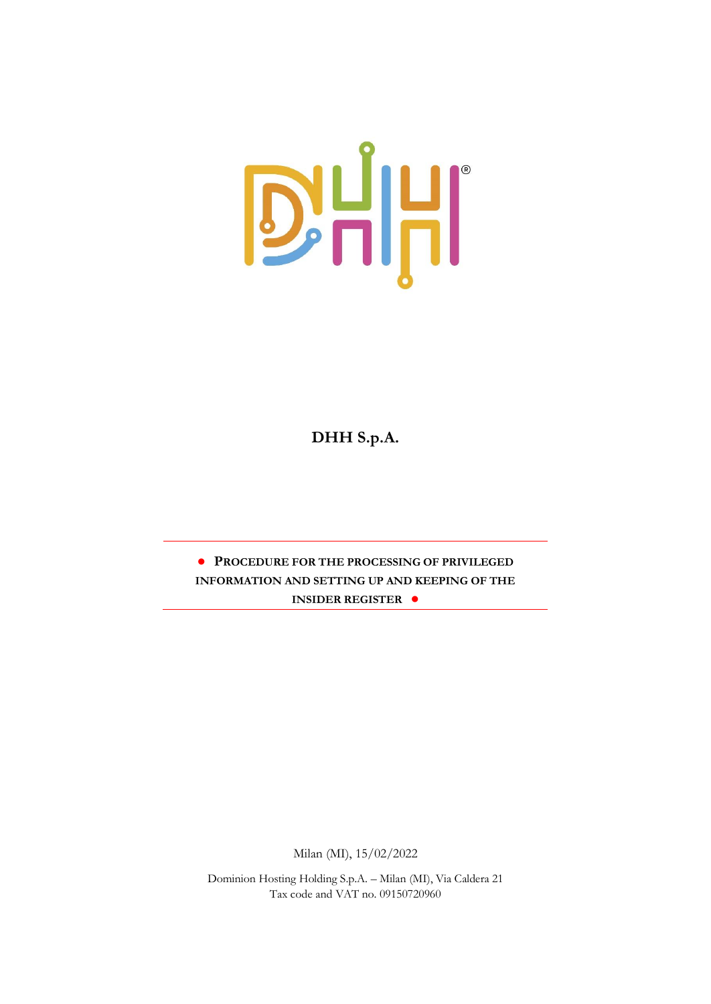

# **DHH S.p.A.**

# **● PROCEDURE FOR THE PROCESSING OF PRIVILEGED INFORMATION AND SETTING UP AND KEEPING OF THE INSIDER REGISTER ●**

Milan (MI), 15/02/2022

Dominion Hosting Holding S.p.A. – Milan (MI), Via Caldera 21 Tax code and VAT no. 09150720960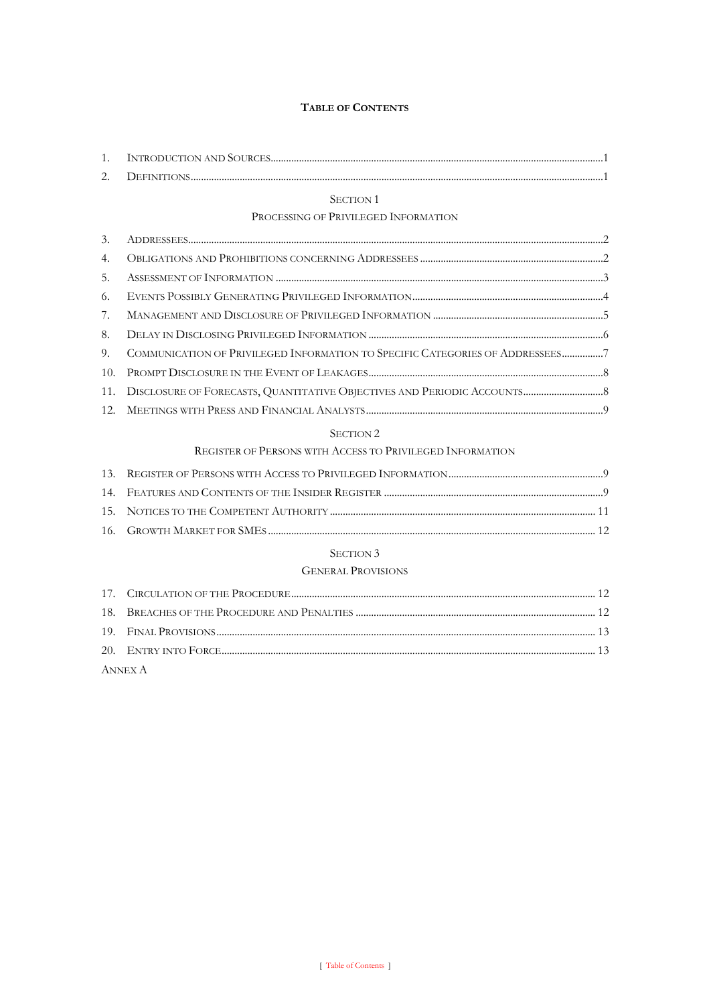# **TABLE OF CONTENTS**

| <u>_</u> | 2. DEFINITIONS. |
|----------|-----------------|

## S[ECTION](#page-3-0) 1

# P[ROCESSING](#page-3-1) OF PRIVILEGED INFORMATION

| 4. |                                                                               |  |
|----|-------------------------------------------------------------------------------|--|
| 5. |                                                                               |  |
|    |                                                                               |  |
|    |                                                                               |  |
|    |                                                                               |  |
| 9. | COMMUNICATION OF PRIVILEGED INFORMATION TO SPECIFIC CATEGORIES OF ADDRESSEES7 |  |
|    |                                                                               |  |
|    |                                                                               |  |
|    |                                                                               |  |

## S[ECTION](#page-10-1) 2

## REGISTER OF PERSONS WITH ACCESS TO PRIVILEGED INFORMATION

# S[ECTION](#page-13-1) 3

# G[ENERAL](#page-13-2) PROVISIONS

| $\Lambda$ |  |
|-----------|--|

ANNEX A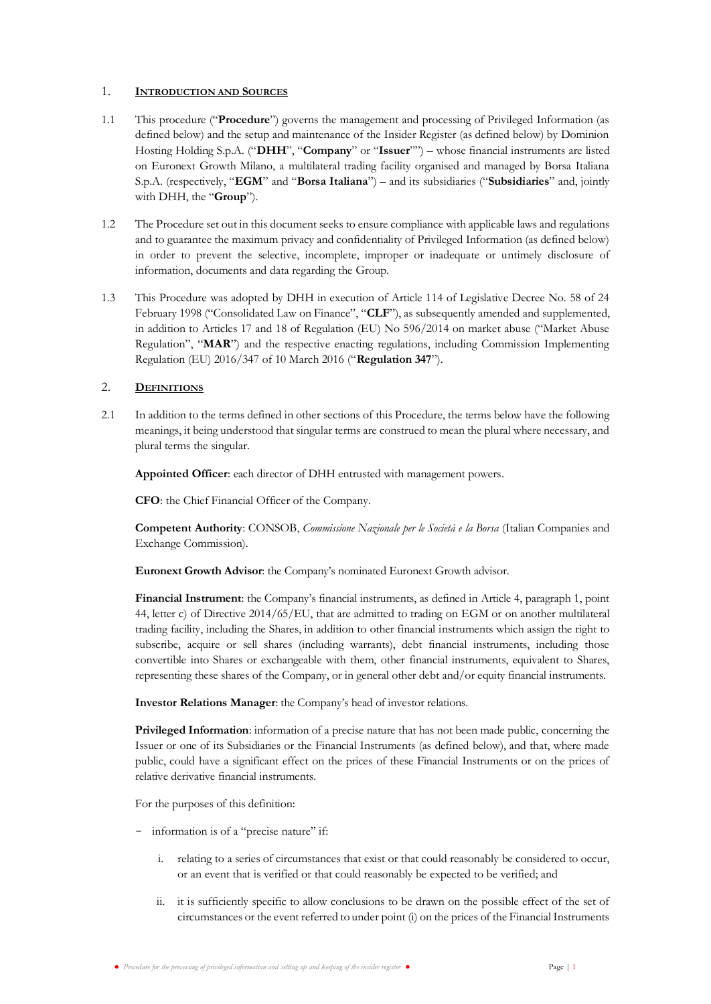#### <span id="page-2-0"></span>1. **INTRODUCTION AND SOURCES**

- 1.1 This procedure ("**Procedure**") governs the management and processing of Privileged Information (as defined below) and the setup and maintenance of the Insider Register (as defined below) by Dominion Hosting Holding S.p.A. ("**DHH**", "**Company**" or "**Issuer**"") – whose financial instruments are listed on Euronext Growth Milano, a multilateral trading facility organised and managed by Borsa Italiana S.p.A. (respectively, "**EGM**" and "**Borsa Italiana**") – and its subsidiaries ("**Subsidiaries**" and, jointly with DHH, the "**Group**").
- 1.2 The Procedure set out in this document seeks to ensure compliance with applicable laws and regulations and to guarantee the maximum privacy and confidentiality of Privileged Information (as defined below) in order to prevent the selective, incomplete, improper or inadequate or untimely disclosure of information, documents and data regarding the Group.
- 1.3 This Procedure was adopted by DHH in execution of Article 114 of Legislative Decree No. 58 of 24 February 1998 ("Consolidated Law on Finance", "**CLF**"), as subsequently amended and supplemented, in addition to Articles 17 and 18 of Regulation (EU) No 596/2014 on market abuse ("Market Abuse Regulation", "**MAR**") and the respective enacting regulations, including Commission Implementing Regulation (EU) 2016/347 of 10 March 2016 ("**Regulation 347**").

## 2. **DEFINITIONS**

2.1 In addition to the terms defined in other sections of this Procedure, the terms below have the following meanings, it being understood that singular terms are construed to mean the plural where necessary, and plural terms the singular.

**Appointed Officer**: each director of DHH entrusted with management powers.

**CFO**: the Chief Financial Officer of the Company.

**Competent Authority**: CONSOB, *Commissione Nazionale per le Società e la Borsa* (Italian Companies and Exchange Commission).

**Euronext Growth Advisor**: the Company's nominated Euronext Growth advisor.

**Financial Instrument**: the Company's financial instruments, as defined in Article 4, paragraph 1, point 44, letter c) of Directive 2014/65/EU, that are admitted to trading on EGM or on another multilateral trading facility, including the Shares, in addition to other financial instruments which assign the right to subscribe, acquire or sell shares (including warrants), debt financial instruments, including those convertible into Shares or exchangeable with them, other financial instruments, equivalent to Shares, representing these shares of the Company, or in general other debt and/or equity financial instruments.

**Investor Relations Manager**: the Company's head of investor relations.

**Privileged Information**: information of a precise nature that has not been made public, concerning the Issuer or one of its Subsidiaries or the Financial Instruments (as defined below), and that, where made public, could have a significant effect on the prices of these Financial Instruments or on the prices of relative derivative financial instruments.

For the purposes of this definition:

- information is of a "precise nature" if:
	- i. relating to a series of circumstances that exist or that could reasonably be considered to occur, or an event that is verified or that could reasonably be expected to be verified; and
	- ii. it is sufficiently specific to allow conclusions to be drawn on the possible effect of the set of circumstances or the event referred to under point (i) on the prices of the Financial Instruments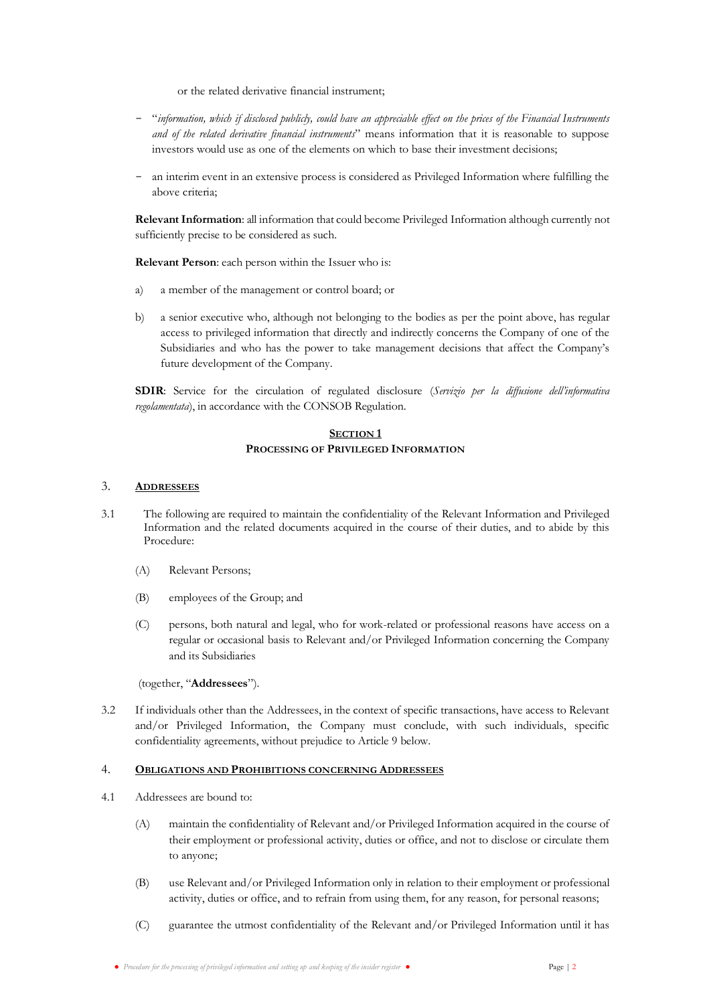or the related derivative financial instrument;

- "*information, which if disclosed publicly, could have an appreciable effect on the prices of the Financial Instruments and of the related derivative financial instruments*" means information that it is reasonable to suppose investors would use as one of the elements on which to base their investment decisions;
- an interim event in an extensive process is considered as Privileged Information where fulfilling the above criteria;

**Relevant Information**: all information that could become Privileged Information although currently not sufficiently precise to be considered as such.

**Relevant Person**: each person within the Issuer who is:

- a) a member of the management or control board; or
- b) a senior executive who, although not belonging to the bodies as per the point above, has regular access to privileged information that directly and indirectly concerns the Company of one of the Subsidiaries and who has the power to take management decisions that affect the Company's future development of the Company.

**SDIR**: Service for the circulation of regulated disclosure (*Servizio per la diffusione dell'informativa regolamentata*), in accordance with the CONSOB Regulation.

## **SECTION 1 PROCESSING OF PRIVILEGED INFORMATION**

#### <span id="page-3-1"></span><span id="page-3-0"></span>3. **ADDRESSEES**

- 3.1 The following are required to maintain the confidentiality of the Relevant Information and Privileged Information and the related documents acquired in the course of their duties, and to abide by this Procedure:
	- (A) Relevant Persons;
	- (B) employees of the Group; and
	- (C) persons, both natural and legal, who for work-related or professional reasons have access on a regular or occasional basis to Relevant and/or Privileged Information concerning the Company and its Subsidiaries

#### (together, "**Addressees**").

3.2 If individuals other than the Addressees, in the context of specific transactions, have access to Relevant and/or Privileged Information, the Company must conclude, with such individuals, specific confidentiality agreements, without prejudice to Article 9 below.

#### <span id="page-3-2"></span>4. **OBLIGATIONS AND PROHIBITIONS CONCERNING ADDRESSEES**

- 4.1 Addressees are bound to:
	- (A) maintain the confidentiality of Relevant and/or Privileged Information acquired in the course of their employment or professional activity, duties or office, and not to disclose or circulate them to anyone;
	- (B) use Relevant and/or Privileged Information only in relation to their employment or professional activity, duties or office, and to refrain from using them, for any reason, for personal reasons;
	- (C) guarantee the utmost confidentiality of the Relevant and/or Privileged Information until it has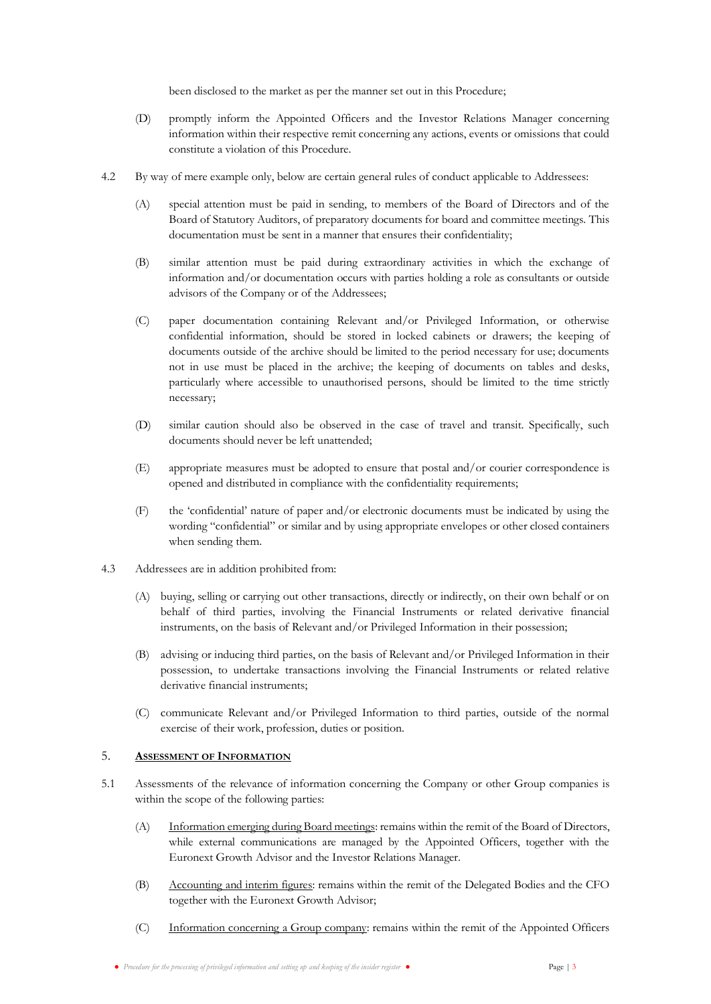been disclosed to the market as per the manner set out in this Procedure;

- (D) promptly inform the Appointed Officers and the Investor Relations Manager concerning information within their respective remit concerning any actions, events or omissions that could constitute a violation of this Procedure.
- 4.2 By way of mere example only, below are certain general rules of conduct applicable to Addressees:
	- (A) special attention must be paid in sending, to members of the Board of Directors and of the Board of Statutory Auditors, of preparatory documents for board and committee meetings. This documentation must be sent in a manner that ensures their confidentiality;
	- (B) similar attention must be paid during extraordinary activities in which the exchange of information and/or documentation occurs with parties holding a role as consultants or outside advisors of the Company or of the Addressees;
	- (C) paper documentation containing Relevant and/or Privileged Information, or otherwise confidential information, should be stored in locked cabinets or drawers; the keeping of documents outside of the archive should be limited to the period necessary for use; documents not in use must be placed in the archive; the keeping of documents on tables and desks, particularly where accessible to unauthorised persons, should be limited to the time strictly necessary;
	- (D) similar caution should also be observed in the case of travel and transit. Specifically, such documents should never be left unattended;
	- (E) appropriate measures must be adopted to ensure that postal and/or courier correspondence is opened and distributed in compliance with the confidentiality requirements;
	- (F) the 'confidential' nature of paper and/or electronic documents must be indicated by using the wording "confidential" or similar and by using appropriate envelopes or other closed containers when sending them.
- 4.3 Addressees are in addition prohibited from:
	- (A) buying, selling or carrying out other transactions, directly or indirectly, on their own behalf or on behalf of third parties, involving the Financial Instruments or related derivative financial instruments, on the basis of Relevant and/or Privileged Information in their possession;
	- (B) advising or inducing third parties, on the basis of Relevant and/or Privileged Information in their possession, to undertake transactions involving the Financial Instruments or related relative derivative financial instruments;
	- (C) communicate Relevant and/or Privileged Information to third parties, outside of the normal exercise of their work, profession, duties or position.

#### <span id="page-4-0"></span>5. **ASSESSMENT OF INFORMATION**

- <span id="page-4-3"></span><span id="page-4-2"></span><span id="page-4-1"></span>5.1 Assessments of the relevance of information concerning the Company or other Group companies is within the scope of the following parties:
	- (A) Information emerging during Board meetings: remains within the remit of the Board of Directors, while external communications are managed by the Appointed Officers, together with the Euronext Growth Advisor and the Investor Relations Manager.
	- (B) Accounting and interim figures: remains within the remit of the Delegated Bodies and the CFO together with the Euronext Growth Advisor;
	- (C) Information concerning a Group company: remains within the remit of the Appointed Officers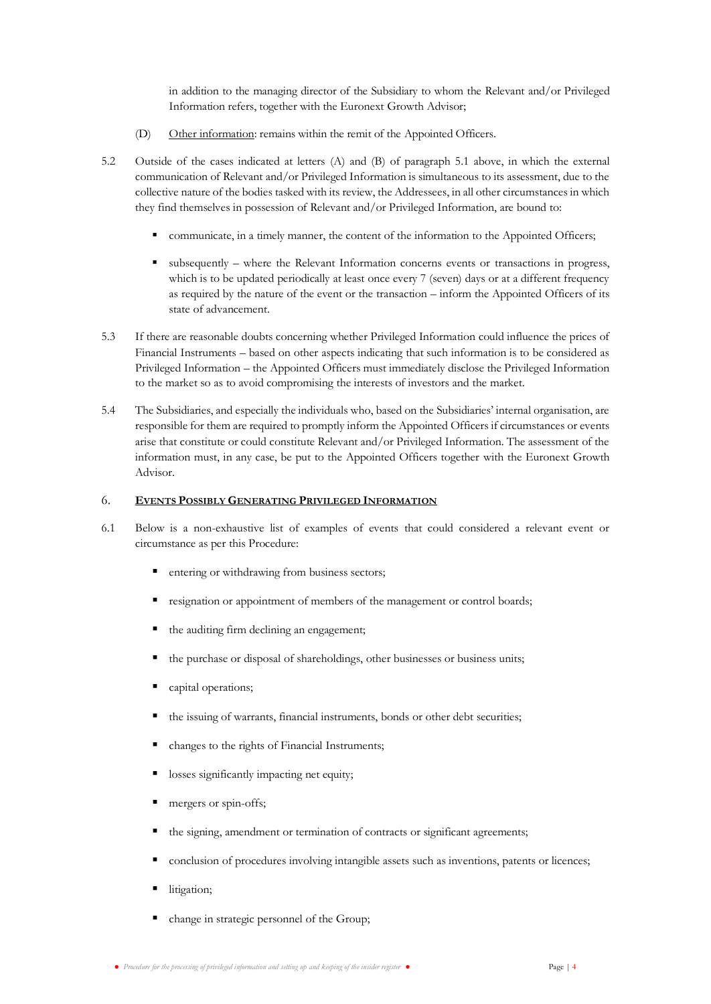in addition to the managing director of the Subsidiary to whom the Relevant and/or Privileged Information refers, together with the Euronext Growth Advisor;

- (D) Other information: remains within the remit of the Appointed Officers.
- 5.2 Outside of the cases indicated at letters [\(A\)](#page-4-1) and [\(B\)](#page-4-2) of paragraph [5.1](#page-4-3) above, in which the external communication of Relevant and/or Privileged Information is simultaneous to its assessment, due to the collective nature of the bodies tasked with its review, the Addressees, in all other circumstances in which they find themselves in possession of Relevant and/or Privileged Information, are bound to:
	- communicate, in a timely manner, the content of the information to the Appointed Officers;
	- subsequently where the Relevant Information concerns events or transactions in progress, which is to be updated periodically at least once every 7 (seven) days or at a different frequency as required by the nature of the event or the transaction – inform the Appointed Officers of its state of advancement.
- 5.3 If there are reasonable doubts concerning whether Privileged Information could influence the prices of Financial Instruments – based on other aspects indicating that such information is to be considered as Privileged Information – the Appointed Officers must immediately disclose the Privileged Information to the market so as to avoid compromising the interests of investors and the market.
- 5.4 The Subsidiaries, and especially the individuals who, based on the Subsidiaries' internal organisation, are responsible for them are required to promptly inform the Appointed Officers if circumstances or events arise that constitute or could constitute Relevant and/or Privileged Information. The assessment of the information must, in any case, be put to the Appointed Officers together with the Euronext Growth Advisor.

#### <span id="page-5-0"></span>6. **EVENTS POSSIBLY GENERATING PRIVILEGED INFORMATION**

- 6.1 Below is a non-exhaustive list of examples of events that could considered a relevant event or circumstance as per this Procedure:
	- entering or withdrawing from business sectors;
	- resignation or appointment of members of the management or control boards;
	- the auditing firm declining an engagement;
	- the purchase or disposal of shareholdings, other businesses or business units;
	- capital operations:
	- the issuing of warrants, financial instruments, bonds or other debt securities;
	- changes to the rights of Financial Instruments;
	- losses significantly impacting net equity;
	- mergers or spin-offs;
	- the signing, amendment or termination of contracts or significant agreements;
	- conclusion of procedures involving intangible assets such as inventions, patents or licences;
	- litigation;
	- change in strategic personnel of the Group;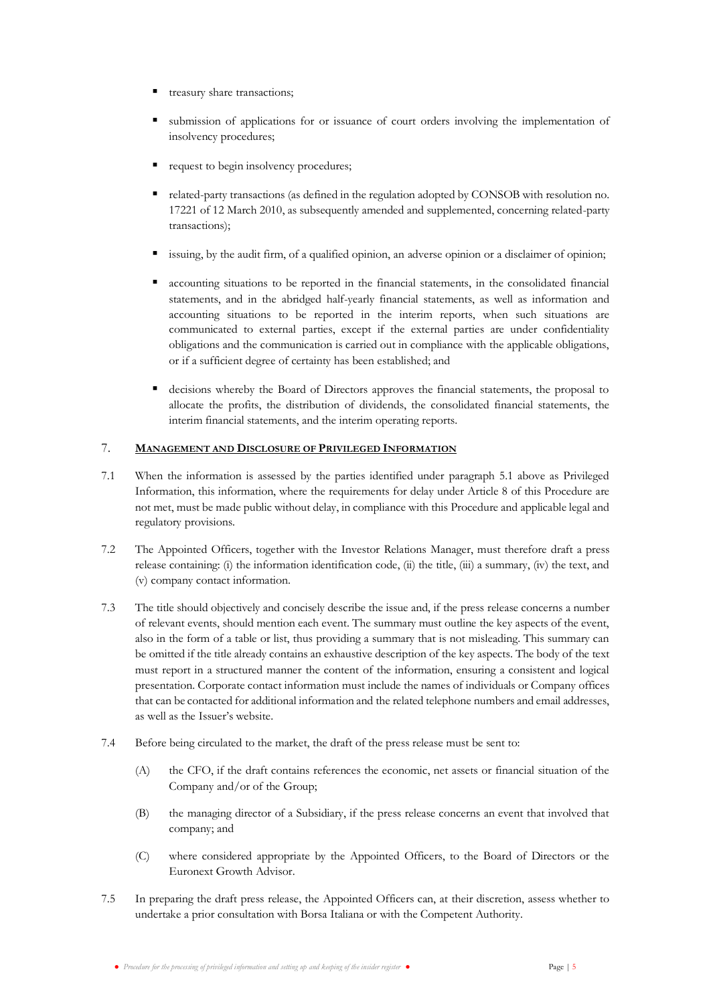- treasury share transactions;
- submission of applications for or issuance of court orders involving the implementation of insolvency procedures;
- request to begin insolvency procedures;
- related-party transactions (as defined in the regulation adopted by CONSOB with resolution no. 17221 of 12 March 2010, as subsequently amended and supplemented, concerning related-party transactions);
- issuing, by the audit firm, of a qualified opinion, an adverse opinion or a disclaimer of opinion;
- accounting situations to be reported in the financial statements, in the consolidated financial statements, and in the abridged half-yearly financial statements, as well as information and accounting situations to be reported in the interim reports, when such situations are communicated to external parties, except if the external parties are under confidentiality obligations and the communication is carried out in compliance with the applicable obligations, or if a sufficient degree of certainty has been established; and
- decisions whereby the Board of Directors approves the financial statements, the proposal to allocate the profits, the distribution of dividends, the consolidated financial statements, the interim financial statements, and the interim operating reports.

## <span id="page-6-0"></span>7. **MANAGEMENT AND DISCLOSURE OF PRIVILEGED INFORMATION**

- 7.1 When the information is assessed by the parties identified under paragraph 5.1 above as Privileged Information, this information, where the requirements for delay under Article 8 of this Procedure are not met, must be made public without delay, in compliance with this Procedure and applicable legal and regulatory provisions.
- 7.2 The Appointed Officers, together with the Investor Relations Manager, must therefore draft a press release containing: (i) the information identification code, (ii) the title, (iii) a summary, (iv) the text, and (v) company contact information.
- 7.3 The title should objectively and concisely describe the issue and, if the press release concerns a number of relevant events, should mention each event. The summary must outline the key aspects of the event, also in the form of a table or list, thus providing a summary that is not misleading. This summary can be omitted if the title already contains an exhaustive description of the key aspects. The body of the text must report in a structured manner the content of the information, ensuring a consistent and logical presentation. Corporate contact information must include the names of individuals or Company offices that can be contacted for additional information and the related telephone numbers and email addresses, as well as the Issuer's website.
- 7.4 Before being circulated to the market, the draft of the press release must be sent to:
	- (A) the CFO, if the draft contains references the economic, net assets or financial situation of the Company and/or of the Group;
	- (B) the managing director of a Subsidiary, if the press release concerns an event that involved that company; and
	- (C) where considered appropriate by the Appointed Officers, to the Board of Directors or the Euronext Growth Advisor.
- 7.5 In preparing the draft press release, the Appointed Officers can, at their discretion, assess whether to undertake a prior consultation with Borsa Italiana or with the Competent Authority.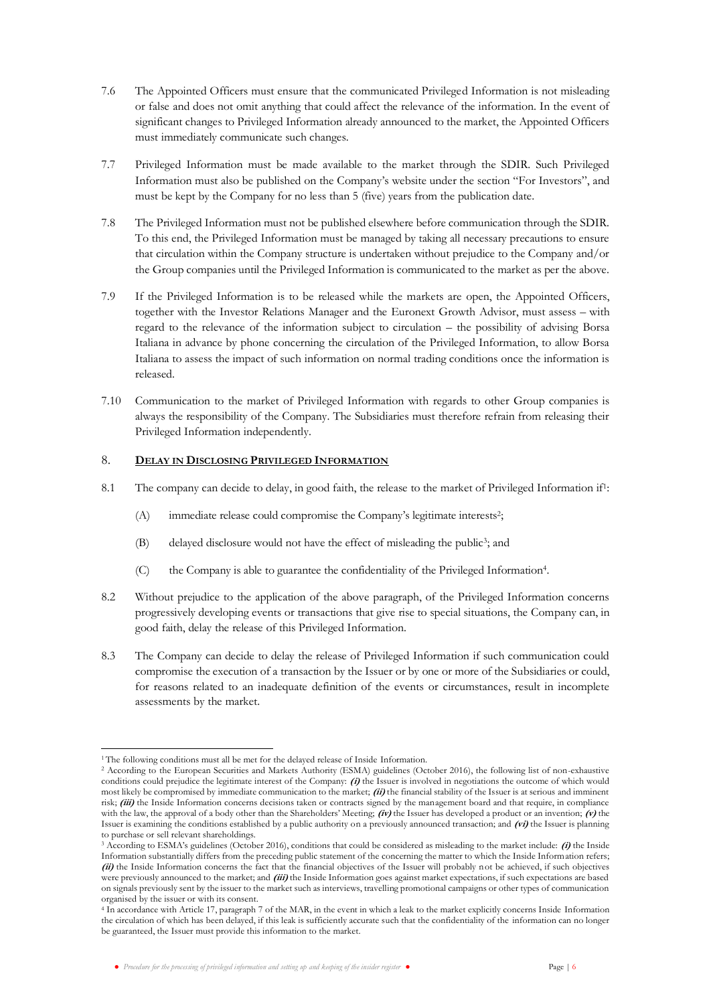- 7.6 The Appointed Officers must ensure that the communicated Privileged Information is not misleading or false and does not omit anything that could affect the relevance of the information. In the event of significant changes to Privileged Information already announced to the market, the Appointed Officers must immediately communicate such changes.
- 7.7 Privileged Information must be made available to the market through the SDIR. Such Privileged Information must also be published on the Company's website under the section "For Investors", and must be kept by the Company for no less than 5 (five) years from the publication date.
- 7.8 The Privileged Information must not be published elsewhere before communication through the SDIR. To this end, the Privileged Information must be managed by taking all necessary precautions to ensure that circulation within the Company structure is undertaken without prejudice to the Company and/or the Group companies until the Privileged Information is communicated to the market as per the above.
- 7.9 If the Privileged Information is to be released while the markets are open, the Appointed Officers, together with the Investor Relations Manager and the Euronext Growth Advisor, must assess – with regard to the relevance of the information subject to circulation – the possibility of advising Borsa Italiana in advance by phone concerning the circulation of the Privileged Information, to allow Borsa Italiana to assess the impact of such information on normal trading conditions once the information is released.
- 7.10 Communication to the market of Privileged Information with regards to other Group companies is always the responsibility of the Company. The Subsidiaries must therefore refrain from releasing their Privileged Information independently.

#### <span id="page-7-0"></span>8. **DELAY IN DISCLOSING PRIVILEGED INFORMATION**

- 8.1 The company can decide to delay, in good faith, the release to the market of Privileged Information if!:
	- (A) immediate release could compromise the Company's legitimate interests<sup>2</sup>;
	- (B) delayed disclosure would not have the effect of misleading the public<sup>3</sup>; and
	- (C) the Company is able to guarantee the confidentiality of the Privileged Information<sup>4</sup> .
- 8.2 Without prejudice to the application of the above paragraph, of the Privileged Information concerns progressively developing events or transactions that give rise to special situations, the Company can, in good faith, delay the release of this Privileged Information.
- 8.3 The Company can decide to delay the release of Privileged Information if such communication could compromise the execution of a transaction by the Issuer or by one or more of the Subsidiaries or could, for reasons related to an inadequate definition of the events or circumstances, result in incomplete assessments by the market.

<sup>&</sup>lt;sup>1</sup> The following conditions must all be met for the delayed release of Inside Information.

<sup>2</sup> According to the European Securities and Markets Authority (ESMA) guidelines (October 2016), the following list of non-exhaustive conditions could prejudice the legitimate interest of the Company: **(i)** the Issuer is involved in negotiations the outcome of which would most likely be compromised by immediate communication to the market; **(ii)** the financial stability of the Issuer is at serious and imminent risk; **(iii)** the Inside Information concerns decisions taken or contracts signed by the management board and that require, in compliance with the law, the approval of a body other than the Shareholders' Meeting; **(iv)** the Issuer has developed a product or an invention; **(v)** the Issuer is examining the conditions established by a public authority on a previously announced transaction; and **(vi)** the Issuer is planning to purchase or sell relevant shareholdings.

<sup>&</sup>lt;sup>3</sup> According to ESMA's guidelines (October 2016), conditions that could be considered as misleading to the market include: **(i)** the Inside Information substantially differs from the preceding public statement of the concerning the matter to which the Inside Information refers; **(ii)** the Inside Information concerns the fact that the financial objectives of the Issuer will probably not be achieved, if such objectives were previously announced to the market; and **(iii)** the Inside Information goes against market expectations, if such expectations are based on signals previously sent by the issuer to the market such as interviews, travelling promotional campaigns or other types of communication organised by the issuer or with its consent.

<sup>4</sup> In accordance with Article 17, paragraph 7 of the MAR, in the event in which a leak to the market explicitly concerns Inside Information the circulation of which has been delayed, if this leak is sufficiently accurate such that the confidentiality of the information can no longer be guaranteed, the Issuer must provide this information to the market.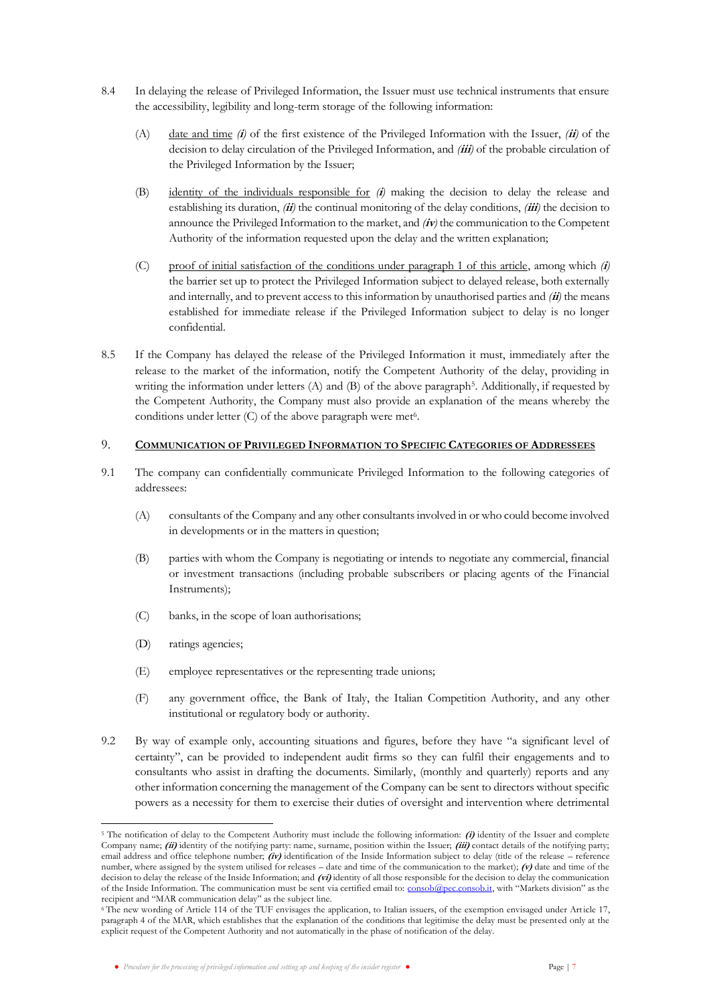- 8.4 In delaying the release of Privileged Information, the Issuer must use technical instruments that ensure the accessibility, legibility and long-term storage of the following information:
	- (A) date and time *(***i***)* of the first existence of the Privileged Information with the Issuer, *(***ii***)* of the decision to delay circulation of the Privileged Information, and *(***iii***)* of the probable circulation of the Privileged Information by the Issuer;
	- (B) identity of the individuals responsible for *(***i***)* making the decision to delay the release and establishing its duration, *(***ii***)* the continual monitoring of the delay conditions, *(***iii***)* the decision to announce the Privileged Information to the market, and *(***iv***)* the communication to the Competent Authority of the information requested upon the delay and the written explanation;
	- (C) proof of initial satisfaction of the conditions under paragraph 1 of this article, among which *(***i***)* the barrier set up to protect the Privileged Information subject to delayed release, both externally and internally, and to prevent access to this information by unauthorised parties and *(***ii***)* the means established for immediate release if the Privileged Information subject to delay is no longer confidential.
- 8.5 If the Company has delayed the release of the Privileged Information it must, immediately after the release to the market of the information, notify the Competent Authority of the delay, providing in writing the information under letters (A) and (B) of the above paragraph<sup>5</sup>. Additionally, if requested by the Competent Authority, the Company must also provide an explanation of the means whereby the conditions under letter (C) of the above paragraph were met<sup>6</sup>.

#### <span id="page-8-0"></span>9. **COMMUNICATION OF PRIVILEGED INFORMATION TO SPECIFIC CATEGORIES OF ADDRESSEES**

- 9.1 The company can confidentially communicate Privileged Information to the following categories of addressees:
	- (A) consultants of the Company and any other consultants involved in or who could become involved in developments or in the matters in question;
	- (B) parties with whom the Company is negotiating or intends to negotiate any commercial, financial or investment transactions (including probable subscribers or placing agents of the Financial Instruments);
	- (C) banks, in the scope of loan authorisations;
	- (D) ratings agencies;
	- (E) employee representatives or the representing trade unions;
	- (F) any government office, the Bank of Italy, the Italian Competition Authority, and any other institutional or regulatory body or authority.
- 9.2 By way of example only, accounting situations and figures, before they have "a significant level of certainty", can be provided to independent audit firms so they can fulfil their engagements and to consultants who assist in drafting the documents. Similarly, (monthly and quarterly) reports and any other information concerning the management of the Company can be sent to directors without specific powers as a necessity for them to exercise their duties of oversight and intervention where detrimental

<sup>5</sup> The notification of delay to the Competent Authority must include the following information: **(i)** identity of the Issuer and complete Company name; **(ii)** identity of the notifying party: name, surname, position within the Issuer; **(iii)** contact details of the notifying party; email address and office telephone number; **(iv)** identification of the Inside Information subject to delay (title of the release – reference number, where assigned by the system utilised for releases – date and time of the communication to the market); **(v)** date and time of the decision to delay the release of the Inside Information; and **(vi)** identity of all those responsible for the decision to delay the communication of the Inside Information. The communication must be sent via certified email to: [consob@pec.consob.it](mailto:consob@pec.consob.it), with "Markets division" as the recipient and "MAR communication delay" as the subject line.

<sup>&</sup>lt;sup>6</sup> The new wording of Article 114 of the TUF envisages the application, to Italian issuers, of the exemption envisaged under Article 17, paragraph 4 of the MAR, which establishes that the explanation of the conditions that legitimise the delay must be present ed only at the explicit request of the Competent Authority and not automatically in the phase of notification of the delay.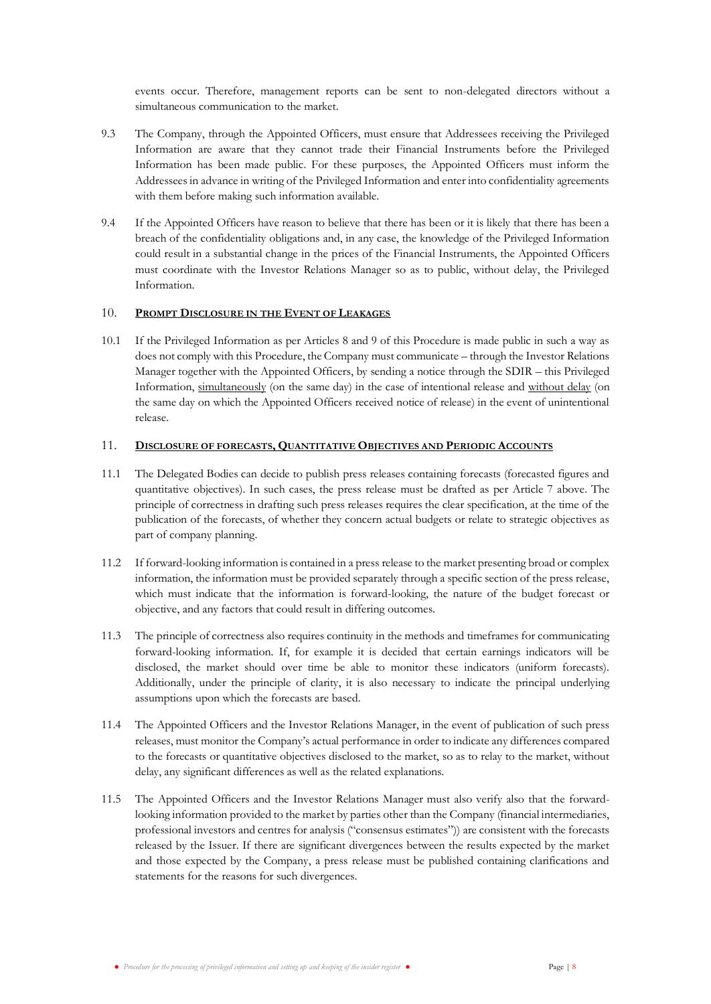events occur. Therefore, management reports can be sent to non-delegated directors without a simultaneous communication to the market.

- 9.3 The Company, through the Appointed Officers, must ensure that Addressees receiving the Privileged Information are aware that they cannot trade their Financial Instruments before the Privileged Information has been made public. For these purposes, the Appointed Officers must inform the Addressees in advance in writing of the Privileged Information and enter into confidentiality agreements with them before making such information available.
- 9.4 If the Appointed Officers have reason to believe that there has been or it is likely that there has been a breach of the confidentiality obligations and, in any case, the knowledge of the Privileged Information could result in a substantial change in the prices of the Financial Instruments, the Appointed Officers must coordinate with the Investor Relations Manager so as to public, without delay, the Privileged Information.

## <span id="page-9-0"></span>10. **PROMPT DISCLOSURE IN THE EVENT OF LEAKAGES**

10.1 If the Privileged Information as per Articles 8 and 9 of this Procedure is made public in such a way as does not comply with this Procedure, the Company must communicate – through the Investor Relations Manager together with the Appointed Officers, by sending a notice through the SDIR – this Privileged Information, simultaneously (on the same day) in the case of intentional release and without delay (on the same day on which the Appointed Officers received notice of release) in the event of unintentional release.

#### <span id="page-9-1"></span>11. **DISCLOSURE OF FORECASTS, QUANTITATIVE OBJECTIVES AND PERIODIC ACCOUNTS**

- 11.1 The Delegated Bodies can decide to publish press releases containing forecasts (forecasted figures and quantitative objectives). In such cases, the press release must be drafted as per Article 7 above. The principle of correctness in drafting such press releases requires the clear specification, at the time of the publication of the forecasts, of whether they concern actual budgets or relate to strategic objectives as part of company planning.
- 11.2 If forward-looking information is contained in a press release to the market presenting broad or complex information, the information must be provided separately through a specific section of the press release, which must indicate that the information is forward-looking, the nature of the budget forecast or objective, and any factors that could result in differing outcomes.
- 11.3 The principle of correctness also requires continuity in the methods and timeframes for communicating forward-looking information. If, for example it is decided that certain earnings indicators will be disclosed, the market should over time be able to monitor these indicators (uniform forecasts). Additionally, under the principle of clarity, it is also necessary to indicate the principal underlying assumptions upon which the forecasts are based.
- 11.4 The Appointed Officers and the Investor Relations Manager, in the event of publication of such press releases, must monitor the Company's actual performance in order to indicate any differences compared to the forecasts or quantitative objectives disclosed to the market, so as to relay to the market, without delay, any significant differences as well as the related explanations.
- 11.5 The Appointed Officers and the Investor Relations Manager must also verify also that the forwardlooking information provided to the market by parties other than the Company (financial intermediaries, professional investors and centres for analysis ("consensus estimates")) are consistent with the forecasts released by the Issuer. If there are significant divergences between the results expected by the market and those expected by the Company, a press release must be published containing clarifications and statements for the reasons for such divergences.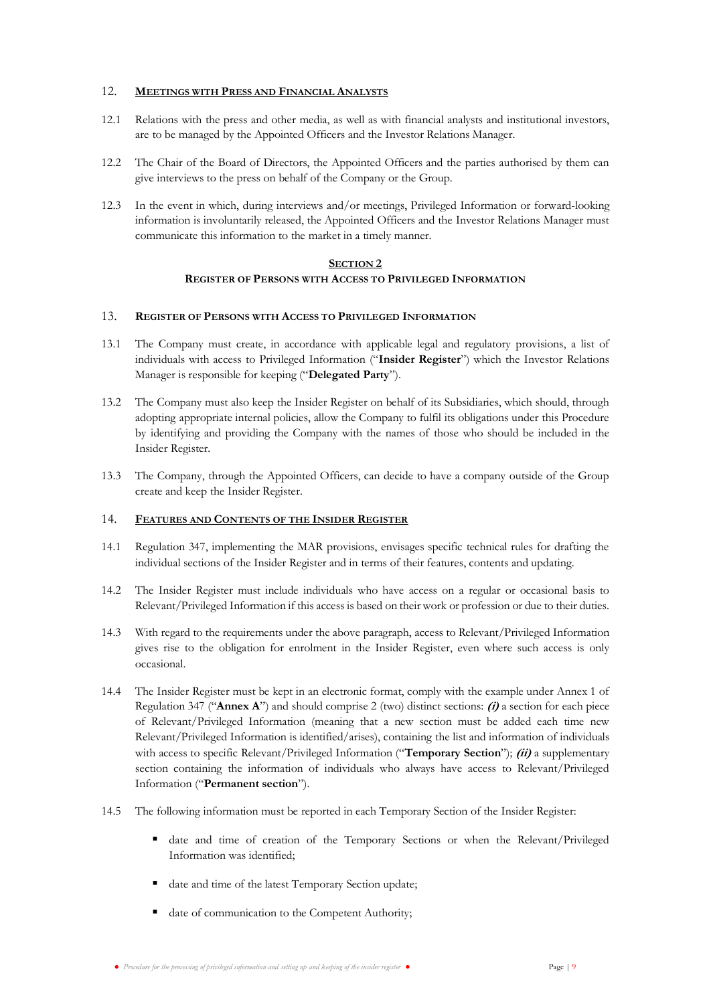#### <span id="page-10-0"></span>12. **MEETINGS WITH PRESS AND FINANCIAL ANALYSTS**

- 12.1 Relations with the press and other media, as well as with financial analysts and institutional investors, are to be managed by the Appointed Officers and the Investor Relations Manager.
- 12.2 The Chair of the Board of Directors, the Appointed Officers and the parties authorised by them can give interviews to the press on behalf of the Company or the Group.
- 12.3 In the event in which, during interviews and/or meetings, Privileged Information or forward-looking information is involuntarily released, the Appointed Officers and the Investor Relations Manager must communicate this information to the market in a timely manner.

## **SECTION 2 REGISTER OF PERSONS WITH ACCESS TO PRIVILEGED INFORMATION**

#### <span id="page-10-2"></span><span id="page-10-1"></span>13. **REGISTER OF PERSONS WITH ACCESS TO PRIVILEGED INFORMATION**

- 13.1 The Company must create, in accordance with applicable legal and regulatory provisions, a list of individuals with access to Privileged Information ("**Insider Register**") which the Investor Relations Manager is responsible for keeping ("**Delegated Party**").
- 13.2 The Company must also keep the Insider Register on behalf of its Subsidiaries, which should, through adopting appropriate internal policies, allow the Company to fulfil its obligations under this Procedure by identifying and providing the Company with the names of those who should be included in the Insider Register.
- 13.3 The Company, through the Appointed Officers, can decide to have a company outside of the Group create and keep the Insider Register.

#### <span id="page-10-3"></span>14. **FEATURES AND CONTENTS OF THE INSIDER REGISTER**

- 14.1 Regulation 347, implementing the MAR provisions, envisages specific technical rules for drafting the individual sections of the Insider Register and in terms of their features, contents and updating.
- 14.2 The Insider Register must include individuals who have access on a regular or occasional basis to Relevant/Privileged Information if this access is based on their work or profession or due to their duties.
- 14.3 With regard to the requirements under the above paragraph, access to Relevant/Privileged Information gives rise to the obligation for enrolment in the Insider Register, even where such access is only occasional.
- 14.4 The Insider Register must be kept in an electronic format, comply with the example under Annex 1 of Regulation 347 ("**Annex A**") and should comprise 2 (two) distinct sections: **(i)** a section for each piece of Relevant/Privileged Information (meaning that a new section must be added each time new Relevant/Privileged Information is identified/arises), containing the list and information of individuals with access to specific Relevant/Privileged Information ("**Temporary Section**"); **(ii)** a supplementary section containing the information of individuals who always have access to Relevant/Privileged Information ("**Permanent section**").
- 14.5 The following information must be reported in each Temporary Section of the Insider Register:
	- date and time of creation of the Temporary Sections or when the Relevant/Privileged Information was identified;
	- date and time of the latest Temporary Section update;
	- date of communication to the Competent Authority;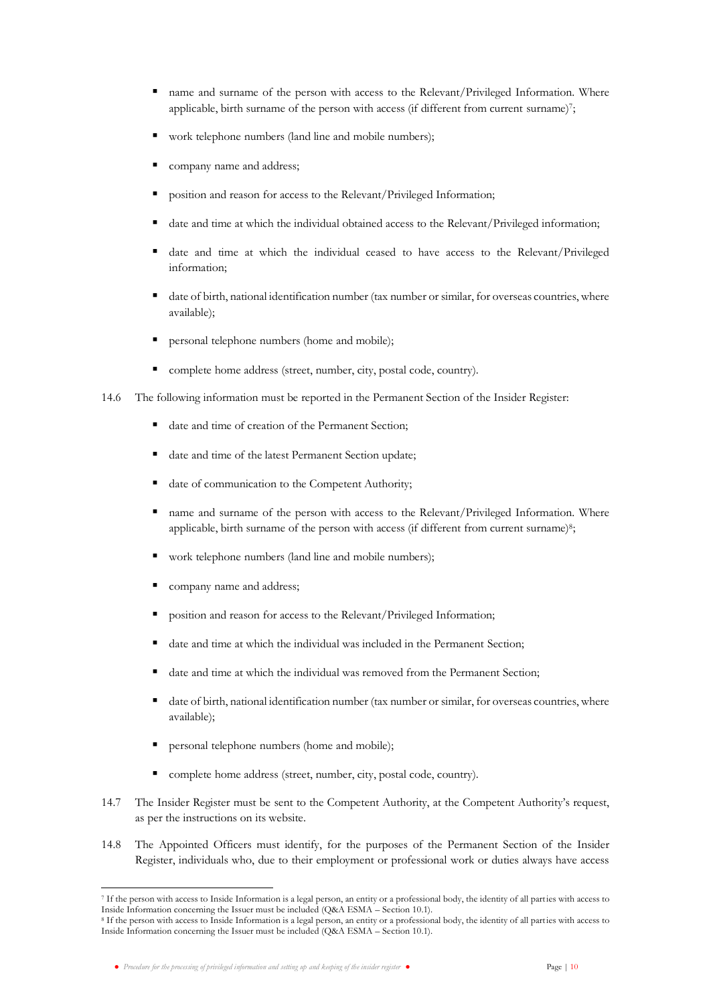- name and surname of the person with access to the Relevant/Privileged Information. Where applicable, birth surname of the person with access (if different from current surname)<sup>7</sup>;
- work telephone numbers (land line and mobile numbers);
- company name and address;
- position and reason for access to the Relevant/Privileged Information;
- date and time at which the individual obtained access to the Relevant/Privileged information;
- date and time at which the individual ceased to have access to the Relevant/Privileged information;
- date of birth, national identification number (tax number or similar, for overseas countries, where available);
- personal telephone numbers (home and mobile);
- complete home address (street, number, city, postal code, country).
- 14.6 The following information must be reported in the Permanent Section of the Insider Register:
	- date and time of creation of the Permanent Section:
	- date and time of the latest Permanent Section update;
	- date of communication to the Competent Authority;
	- name and surname of the person with access to the Relevant/Privileged Information. Where applicable, birth surname of the person with access (if different from current surname)<sup>8</sup>;
	- work telephone numbers (land line and mobile numbers);
	- company name and address;
	- position and reason for access to the Relevant/Privileged Information;
	- date and time at which the individual was included in the Permanent Section;
	- date and time at which the individual was removed from the Permanent Section;
	- date of birth, national identification number (tax number or similar, for overseas countries, where available);
	- **•** personal telephone numbers (home and mobile);
	- complete home address (street, number, city, postal code, country).
- 14.7 The Insider Register must be sent to the Competent Authority, at the Competent Authority's request, as per the instructions on its website.
- 14.8 The Appointed Officers must identify, for the purposes of the Permanent Section of the Insider Register, individuals who, due to their employment or professional work or duties always have access

<sup>7</sup> If the person with access to Inside Information is a legal person, an entity or a professional body, the identity of all parties with access to Inside Information concerning the Issuer must be included (Q&A ESMA – Section 10.1).

<sup>8</sup> If the person with access to Inside Information is a legal person, an entity or a professional body, the identity of all parties with access to Inside Information concerning the Issuer must be included (Q&A ESMA – Section 10.1).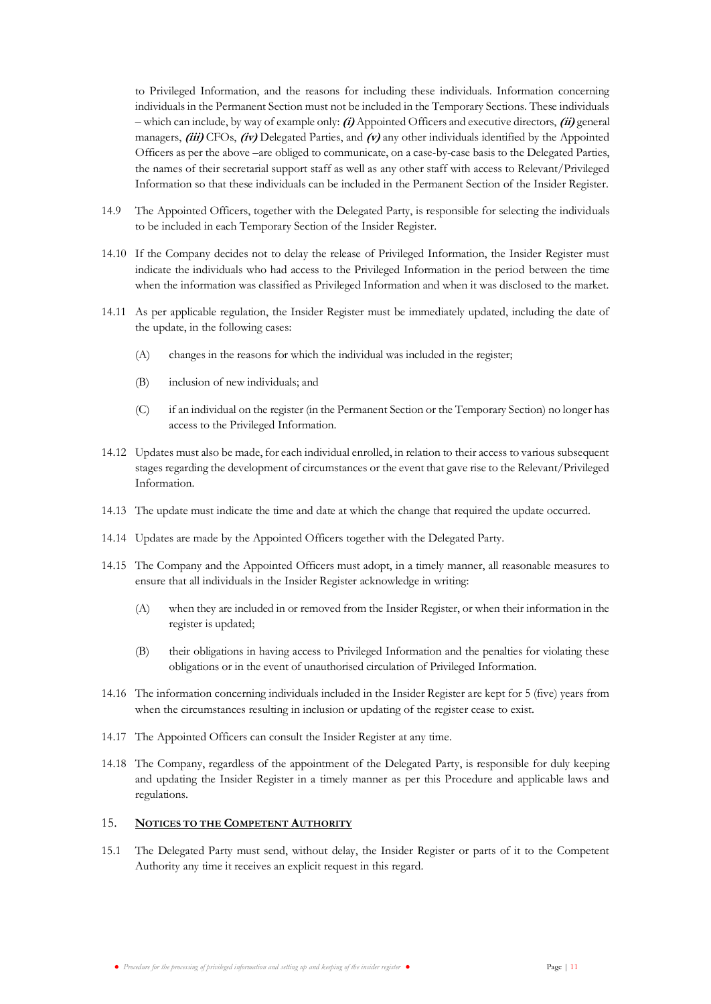to Privileged Information, and the reasons for including these individuals. Information concerning individuals in the Permanent Section must not be included in the Temporary Sections. These individuals – which can include, by way of example only: **(i)** Appointed Officers and executive directors, **(ii)** general managers, **(iii)** CFOs, **(iv)** Delegated Parties, and **(v)** any other individuals identified by the Appointed Officers as per the above –are obliged to communicate, on a case-by-case basis to the Delegated Parties, the names of their secretarial support staff as well as any other staff with access to Relevant/Privileged Information so that these individuals can be included in the Permanent Section of the Insider Register.

- 14.9 The Appointed Officers, together with the Delegated Party, is responsible for selecting the individuals to be included in each Temporary Section of the Insider Register.
- 14.10 If the Company decides not to delay the release of Privileged Information, the Insider Register must indicate the individuals who had access to the Privileged Information in the period between the time when the information was classified as Privileged Information and when it was disclosed to the market.
- 14.11 As per applicable regulation, the Insider Register must be immediately updated, including the date of the update, in the following cases:
	- (A) changes in the reasons for which the individual was included in the register;
	- (B) inclusion of new individuals; and
	- (C) if an individual on the register (in the Permanent Section or the Temporary Section) no longer has access to the Privileged Information.
- 14.12 Updates must also be made, for each individual enrolled, in relation to their access to various subsequent stages regarding the development of circumstances or the event that gave rise to the Relevant/Privileged Information.
- 14.13 The update must indicate the time and date at which the change that required the update occurred.
- 14.14 Updates are made by the Appointed Officers together with the Delegated Party.
- 14.15 The Company and the Appointed Officers must adopt, in a timely manner, all reasonable measures to ensure that all individuals in the Insider Register acknowledge in writing:
	- (A) when they are included in or removed from the Insider Register, or when their information in the register is updated;
	- (B) their obligations in having access to Privileged Information and the penalties for violating these obligations or in the event of unauthorised circulation of Privileged Information.
- 14.16 The information concerning individuals included in the Insider Register are kept for 5 (five) years from when the circumstances resulting in inclusion or updating of the register cease to exist.
- 14.17 The Appointed Officers can consult the Insider Register at any time.
- 14.18 The Company, regardless of the appointment of the Delegated Party, is responsible for duly keeping and updating the Insider Register in a timely manner as per this Procedure and applicable laws and regulations.

#### <span id="page-12-0"></span>15. **NOTICES TO THE COMPETENT AUTHORITY**

15.1 The Delegated Party must send, without delay, the Insider Register or parts of it to the Competent Authority any time it receives an explicit request in this regard.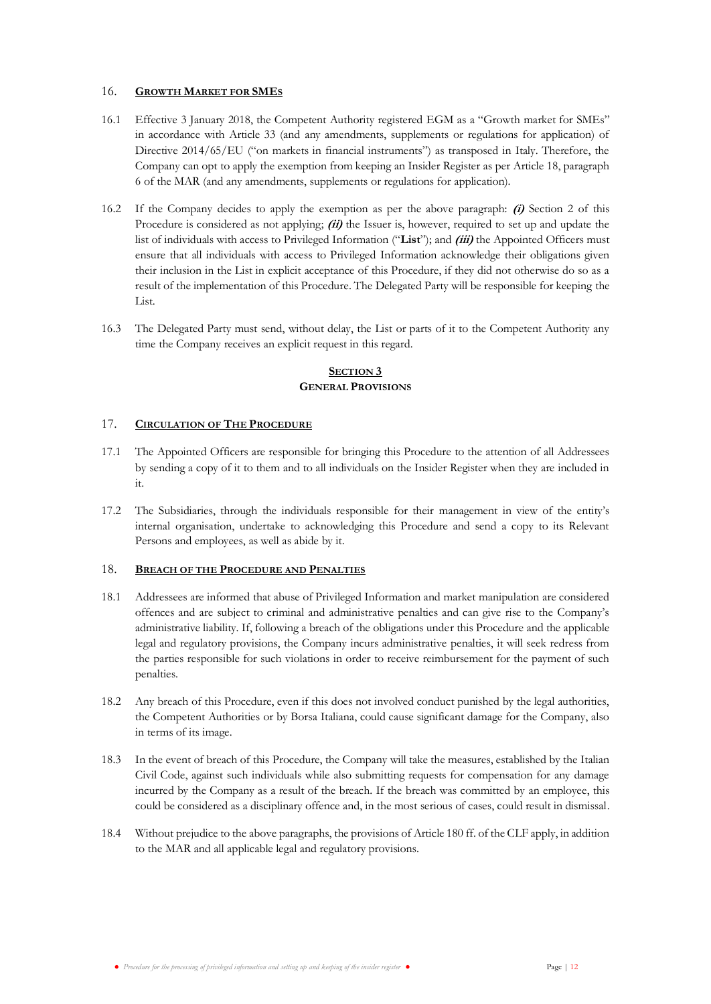### <span id="page-13-0"></span>16. **GROWTH MARKET FOR SMES**

- 16.1 Effective 3 January 2018, the Competent Authority registered EGM as a "Growth market for SMEs" in accordance with Article 33 (and any amendments, supplements or regulations for application) of Directive 2014/65/EU ("on markets in financial instruments") as transposed in Italy. Therefore, the Company can opt to apply the exemption from keeping an Insider Register as per Article 18, paragraph 6 of the MAR (and any amendments, supplements or regulations for application).
- 16.2 If the Company decides to apply the exemption as per the above paragraph: **(i)** Section 2 of this Procedure is considered as not applying; **(ii)** the Issuer is, however, required to set up and update the list of individuals with access to Privileged Information ("**List**"); and **(iii)** the Appointed Officers must ensure that all individuals with access to Privileged Information acknowledge their obligations given their inclusion in the List in explicit acceptance of this Procedure, if they did not otherwise do so as a result of the implementation of this Procedure. The Delegated Party will be responsible for keeping the List.
- <span id="page-13-1"></span>16.3 The Delegated Party must send, without delay, the List or parts of it to the Competent Authority any time the Company receives an explicit request in this regard.

## **SECTION 3 GENERAL PROVISIONS**

## <span id="page-13-3"></span><span id="page-13-2"></span>17. **CIRCULATION OF THE PROCEDURE**

- 17.1 The Appointed Officers are responsible for bringing this Procedure to the attention of all Addressees by sending a copy of it to them and to all individuals on the Insider Register when they are included in it.
- 17.2 The Subsidiaries, through the individuals responsible for their management in view of the entity's internal organisation, undertake to acknowledging this Procedure and send a copy to its Relevant Persons and employees, as well as abide by it.

#### <span id="page-13-4"></span>18. **BREACH OF THE PROCEDURE AND PENALTIES**

- 18.1 Addressees are informed that abuse of Privileged Information and market manipulation are considered offences and are subject to criminal and administrative penalties and can give rise to the Company's administrative liability. If, following a breach of the obligations under this Procedure and the applicable legal and regulatory provisions, the Company incurs administrative penalties, it will seek redress from the parties responsible for such violations in order to receive reimbursement for the payment of such penalties.
- 18.2 Any breach of this Procedure, even if this does not involved conduct punished by the legal authorities, the Competent Authorities or by Borsa Italiana, could cause significant damage for the Company, also in terms of its image.
- 18.3 In the event of breach of this Procedure, the Company will take the measures, established by the Italian Civil Code, against such individuals while also submitting requests for compensation for any damage incurred by the Company as a result of the breach. If the breach was committed by an employee, this could be considered as a disciplinary offence and, in the most serious of cases, could result in dismissal.
- 18.4 Without prejudice to the above paragraphs, the provisions of Article 180 ff. of the CLF apply, in addition to the MAR and all applicable legal and regulatory provisions.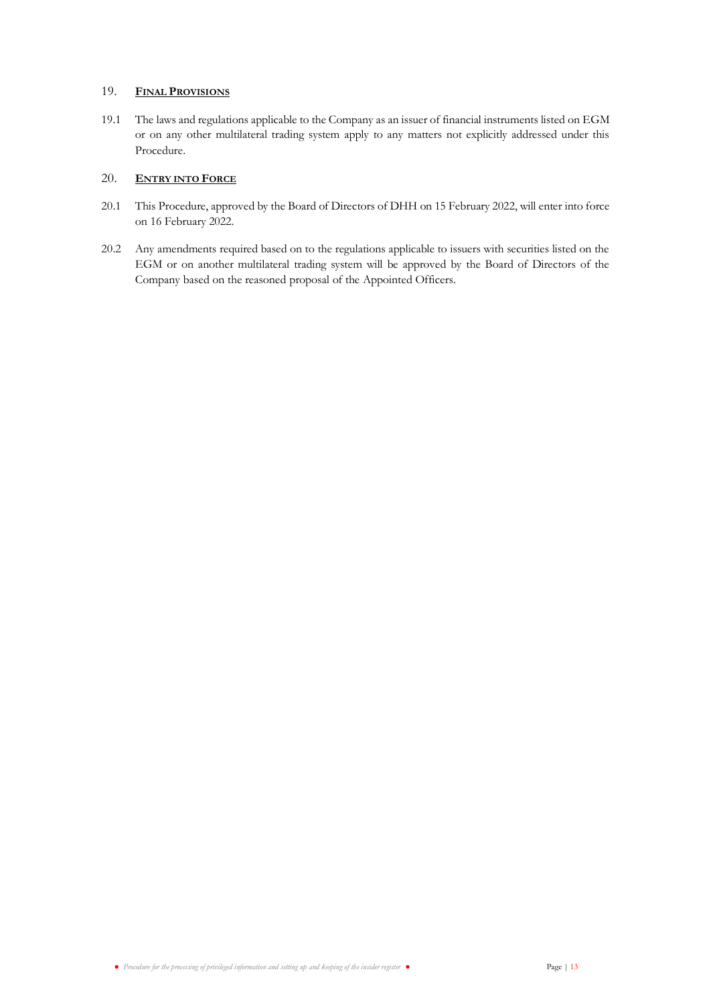# <span id="page-14-0"></span>19. **FINAL PROVISIONS**

19.1 The laws and regulations applicable to the Company as an issuer of financial instruments listed on EGM or on any other multilateral trading system apply to any matters not explicitly addressed under this Procedure.

## <span id="page-14-1"></span>20. **ENTRY INTO FORCE**

- 20.1 This Procedure, approved by the Board of Directors of DHH on 15 February 2022, will enter into force on 16 February 2022.
- 20.2 Any amendments required based on to the regulations applicable to issuers with securities listed on the EGM or on another multilateral trading system will be approved by the Board of Directors of the Company based on the reasoned proposal of the Appointed Officers.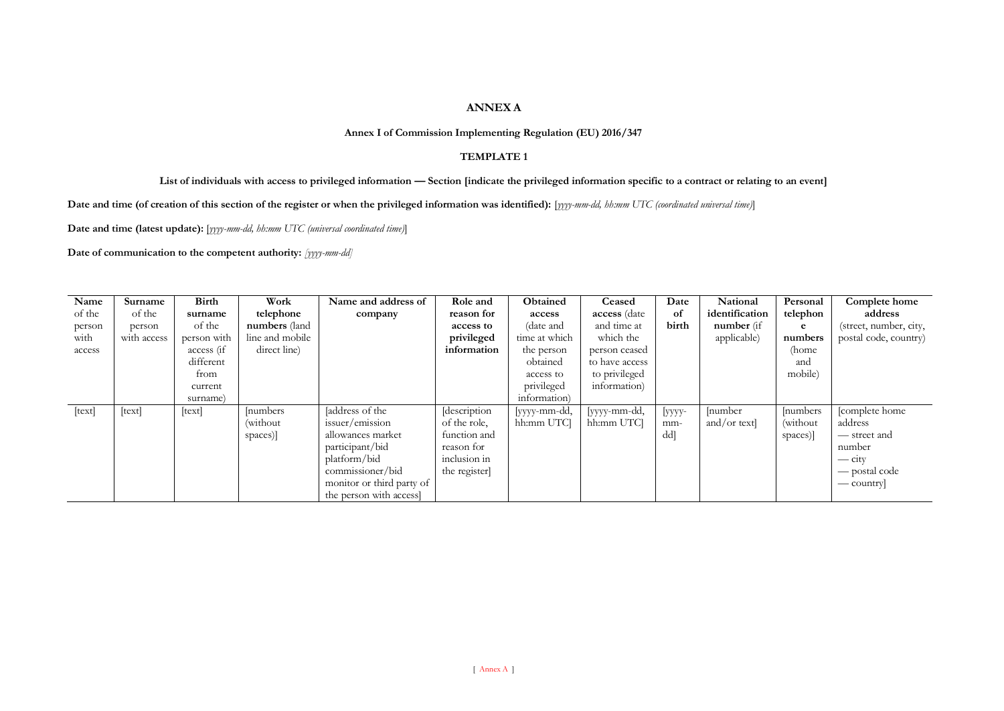## **ANNEXA**

#### **Annex I of Commission Implementing Regulation (EU) 2016/347**

#### **TEMPLATE 1**

#### List of individuals with access to privileged information — Section [indicate the privileged information specific to a contract or relating to an event]

Date and time (of creation of this section of the register or when the privileged information was identified): [*yyyy-mm-dd, hh:mm* UTC (coordinated universal time)]

**Date and time (latest update):** [*yyyy-mm-dd, hh:mm UTC (universal coordinated time)*]

**Date of communication to the competent authority:** *[yyyy-mm-dd]*

| Name   | Surname     | Birth       | Work                   | Name and address of       | Role and      | Obtained      | Ceased         | Date   | National       | Personal           | Complete home          |
|--------|-------------|-------------|------------------------|---------------------------|---------------|---------------|----------------|--------|----------------|--------------------|------------------------|
| of the | of the      | surname     | telephone              | company                   | reason for    | access        | access (date   | of     | identification | telephon           | address                |
| person | person      | of the      | numbers (land          |                           | access to     | (date and     | and time at    | birth  | number (if     | e                  | (street, number, city, |
| with   | with access | person with | line and mobile        |                           | privileged    | time at which | which the      |        | applicable)    | numbers            | postal code, country)  |
| access |             | access (if  | direct line)           |                           | information   | the person    | person ceased  |        |                | (home              |                        |
|        |             | different   |                        |                           |               | obtained      | to have access |        |                | and                |                        |
|        |             | from        |                        |                           |               | access to     | to privileged  |        |                | mobile)            |                        |
|        |             | current     |                        |                           |               | privileged    | information)   |        |                |                    |                        |
|        |             | surname)    |                        |                           |               | information)  |                |        |                |                    |                        |
| [text] | [text]      | text        | <i><u>Inumbers</u></i> | address of the            | [description] | [yyyy-mm-dd,  | [yyyy-mm-dd,   | Јуууу- | [number]       | <i>s</i> [numbers] | [complete home]        |
|        |             |             | (without)              | issuer/emission           | of the role,  | hh:mm UTC     | hh:mm UTC      | mm-    | and/or text]   | (without           | address                |
|        |             |             | spaces)]               | allowances market         | function and  |               |                | dd     |                | spaces)]           | — street and           |
|        |             |             |                        | participant/bid           | reason for    |               |                |        |                |                    | number                 |
|        |             |             |                        | platform/bid              | inclusion in  |               |                |        |                |                    | $-\text{city}$         |
|        |             |             |                        | commissioner/bid          | the register  |               |                |        |                |                    | — postal code          |
|        |             |             |                        | monitor or third party of |               |               |                |        |                |                    | — country              |
|        |             |             |                        | the person with access    |               |               |                |        |                |                    |                        |